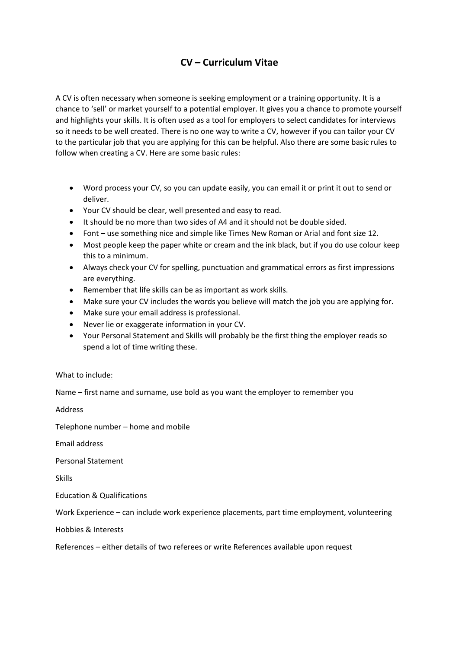# **CV – Curriculum Vitae**

A CV is often necessary when someone is seeking employment or a training opportunity. It is a chance to 'sell' or market yourself to a potential employer. It gives you a chance to promote yourself and highlights your skills. It is often used as a tool for employers to select candidates for interviews so it needs to be well created. There is no one way to write a CV, however if you can tailor your CV to the particular job that you are applying for this can be helpful. Also there are some basic rules to follow when creating a CV. Here are some basic rules:

- Word process your CV, so you can update easily, you can email it or print it out to send or deliver.
- Your CV should be clear, well presented and easy to read.
- It should be no more than two sides of A4 and it should not be double sided.
- Font use something nice and simple like Times New Roman or Arial and font size 12.
- Most people keep the paper white or cream and the ink black, but if you do use colour keep this to a minimum.
- Always check your CV for spelling, punctuation and grammatical errors as first impressions are everything.
- Remember that life skills can be as important as work skills.
- Make sure your CV includes the words you believe will match the job you are applying for.
- Make sure your email address is professional.
- Never lie or exaggerate information in your CV.
- Your Personal Statement and Skills will probably be the first thing the employer reads so spend a lot of time writing these.

## What to include:

Name – first name and surname, use bold as you want the employer to remember you

Address

Telephone number – home and mobile

Email address

Personal Statement

Skills

Education & Qualifications

Work Experience – can include work experience placements, part time employment, volunteering

Hobbies & Interests

References – either details of two referees or write References available upon request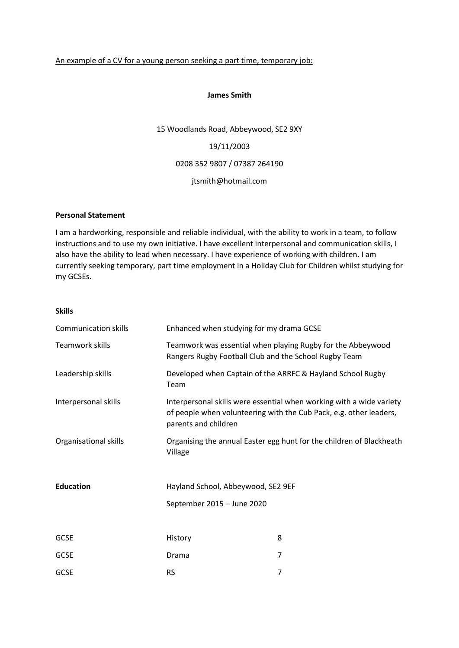### An example of a CV for a young person seeking a part time, temporary job:

#### **James Smith**

15 Woodlands Road, Abbeywood, SE2 9XY 19/11/2003 0208 352 9807 / 07387 264190 jtsmith@hotmail.com

## **Personal Statement**

I am a hardworking, responsible and reliable individual, with the ability to work in a team, to follow instructions and to use my own initiative. I have excellent interpersonal and communication skills, I also have the ability to lead when necessary. I have experience of working with children. I am currently seeking temporary, part time employment in a Holiday Club for Children whilst studying for my GCSEs.

**Skills**

| <b>Communication skills</b> | Enhanced when studying for my drama GCSE                                                                                                                           |                                                                      |
|-----------------------------|--------------------------------------------------------------------------------------------------------------------------------------------------------------------|----------------------------------------------------------------------|
| Teamwork skills             | Teamwork was essential when playing Rugby for the Abbeywood<br>Rangers Rugby Football Club and the School Rugby Team                                               |                                                                      |
| Leadership skills           | Team                                                                                                                                                               | Developed when Captain of the ARRFC & Hayland School Rugby           |
| Interpersonal skills        | Interpersonal skills were essential when working with a wide variety<br>of people when volunteering with the Cub Pack, e.g. other leaders,<br>parents and children |                                                                      |
| Organisational skills       | Village                                                                                                                                                            | Organising the annual Easter egg hunt for the children of Blackheath |
| <b>Education</b>            | Hayland School, Abbeywood, SE2 9EF<br>September 2015 - June 2020                                                                                                   |                                                                      |
|                             |                                                                                                                                                                    |                                                                      |
| <b>GCSE</b>                 | History                                                                                                                                                            | 8                                                                    |
| <b>GCSE</b>                 | Drama                                                                                                                                                              | 7                                                                    |
| <b>GCSE</b>                 | <b>RS</b>                                                                                                                                                          | 7                                                                    |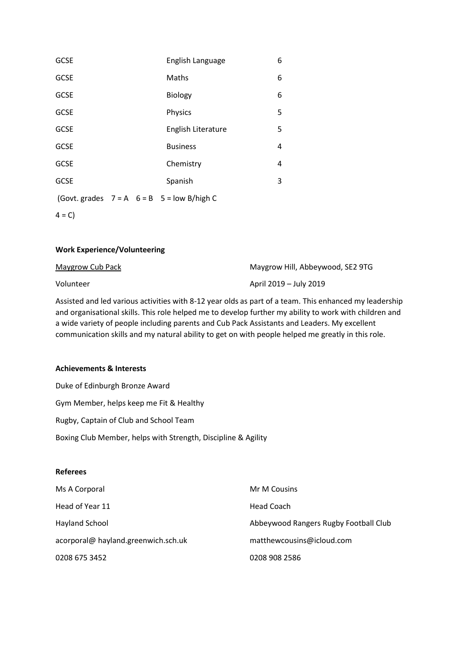| <b>GCSE</b> |  | English Language                                 | 6 |
|-------------|--|--------------------------------------------------|---|
| <b>GCSE</b> |  | Maths                                            | 6 |
| <b>GCSE</b> |  | <b>Biology</b>                                   | 6 |
| <b>GCSE</b> |  | Physics                                          | 5 |
| <b>GCSE</b> |  | English Literature                               | 5 |
| <b>GCSE</b> |  | <b>Business</b>                                  | 4 |
| <b>GCSE</b> |  | Chemistry                                        | 4 |
| <b>GCSE</b> |  | Spanish                                          | 3 |
|             |  | (Govt. grades $7 = A$ $6 = B$ $5 = low$ B/high C |   |

 $4 = C$ 

## **Work Experience/Volunteering**

| Maygrow Cub Pack | Maygrow Hill, Abbeywood, SE2 9TG |
|------------------|----------------------------------|
| Volunteer        | April 2019 – July 2019           |

Assisted and led various activities with 8-12 year olds as part of a team. This enhanced my leadership and organisational skills. This role helped me to develop further my ability to work with children and a wide variety of people including parents and Cub Pack Assistants and Leaders. My excellent communication skills and my natural ability to get on with people helped me greatly in this role.

#### **Achievements & Interests**

Duke of Edinburgh Bronze Award Gym Member, helps keep me Fit & Healthy Rugby, Captain of Club and School Team Boxing Club Member, helps with Strength, Discipline & Agility

# **Referees**

| Ms A Corporal                       | Mr M Cousins                          |
|-------------------------------------|---------------------------------------|
| Head of Year 11                     | Head Coach                            |
| Hayland School                      | Abbeywood Rangers Rugby Football Club |
| acorporal@ hayland.greenwich.sch.uk | matthewcousins@icloud.com             |
| 0208 675 3452                       | 0208 908 2586                         |